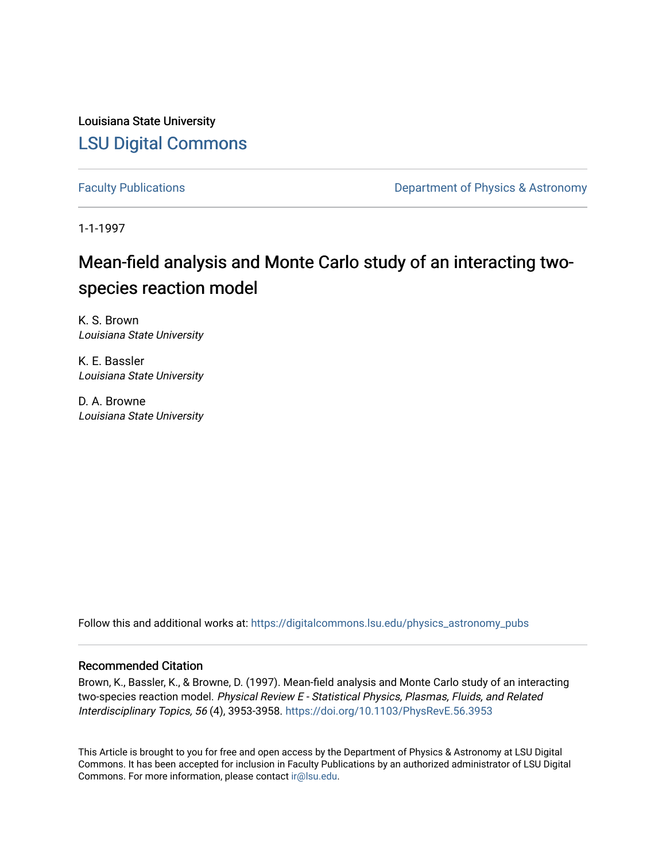Louisiana State University [LSU Digital Commons](https://digitalcommons.lsu.edu/)

[Faculty Publications](https://digitalcommons.lsu.edu/physics_astronomy_pubs) **Exercise 2 and Table 2 and Table 2 and Table 2 and Table 2 and Table 2 and Table 2 and Table 2 and Table 2 and Table 2 and Table 2 and Table 2 and Table 2 and Table 2 and Table 2 and Table 2 and Table** 

1-1-1997

# Mean-field analysis and Monte Carlo study of an interacting twospecies reaction model

K. S. Brown Louisiana State University

K. E. Bassler Louisiana State University

D. A. Browne Louisiana State University

Follow this and additional works at: [https://digitalcommons.lsu.edu/physics\\_astronomy\\_pubs](https://digitalcommons.lsu.edu/physics_astronomy_pubs?utm_source=digitalcommons.lsu.edu%2Fphysics_astronomy_pubs%2F519&utm_medium=PDF&utm_campaign=PDFCoverPages) 

## Recommended Citation

Brown, K., Bassler, K., & Browne, D. (1997). Mean-field analysis and Monte Carlo study of an interacting two-species reaction model. Physical Review E - Statistical Physics, Plasmas, Fluids, and Related Interdisciplinary Topics, 56 (4), 3953-3958. <https://doi.org/10.1103/PhysRevE.56.3953>

This Article is brought to you for free and open access by the Department of Physics & Astronomy at LSU Digital Commons. It has been accepted for inclusion in Faculty Publications by an authorized administrator of LSU Digital Commons. For more information, please contact [ir@lsu.edu](mailto:ir@lsu.edu).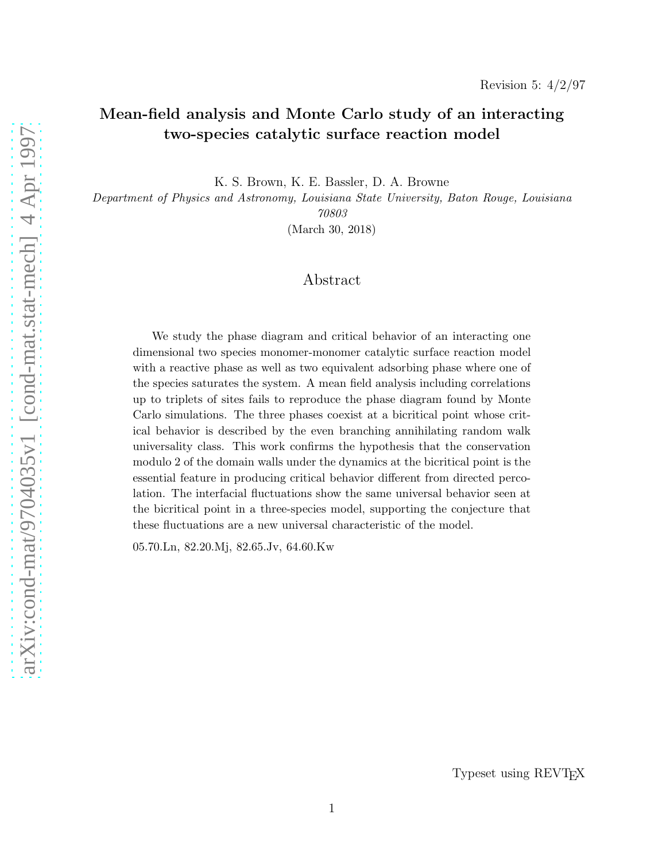# Mean-field analysis and Monte Carlo study of an interacting two-species catalytic surface reaction model

K. S. Brown, K. E. Bassler, D. A. Browne

Department of Physics and Astronomy, Louisiana State University, Baton Rouge, Louisiana 70803

(March 30, 2018)

# Abstract

We study the phase diagram and critical behavior of an interacting one dimensional two species monomer-monomer catalytic surface reaction model with a reactive phase as well as two equivalent adsorbing phase where one of the species saturates the system. A mean field analysis including correlations up to triplets of sites fails to reproduce the phase diagram found by Monte Carlo simulations. The three phases coexist at a bicritical point whose critical behavior is described by the even branching annihilating random walk universality class. This work confirms the hypothesis that the conservation modulo 2 of the domain walls under the dynamics at the bicritical point is the essential feature in producing critical behavior different from directed percolation. The interfacial fluctuations show the same universal behavior seen at the bicritical point in a three-species model, supporting the conjecture that these fluctuations are a new universal characteristic of the model.

05.70.Ln, 82.20.Mj, 82.65.Jv, 64.60.Kw

Typeset using REVT<sub>F</sub>X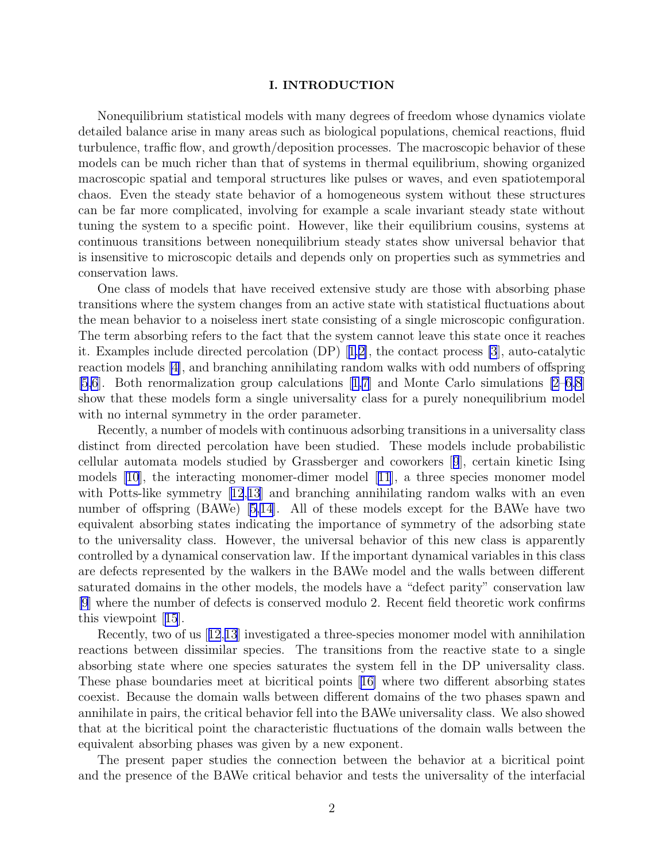#### I. INTRODUCTION

Nonequilibrium statistical models with many degrees of freedom whose dynamics violate detailed balance arise in many areas such as biological populations, chemical reactions, fluid turbulence, traffic flow, and growth/deposition processes. The macroscopic behavior of these models can be much richer than that of systems in thermal equilibrium, showing organized macroscopic spatial and temporal structures like pulses or waves, and even spatiotemporal chaos. Even the steady state behavior of a homogeneous system without these structures can be far more complicated, involving for example a scale invariant steady state without tuning the system to a specific point. However, like their equilibrium cousins, systems at continuous transitions between nonequilibrium steady states show universal behavior that is insensitive to microscopic details and depends only on properties such as symmetries and conservation laws.

One class of models that have received extensive study are those with absorbing phase transitions where the system changes from an active state with statistical fluctuations about the mean behavior to a noiseless inert state consisting of a single microscopic configuration. The term absorbing refers to the fact that the system cannot leave this state once it reaches it. Examples include directed percolation (DP)[[1,2\]](#page-10-0), the contact process [\[3](#page-10-0)], auto-catalytic reaction models [\[4\]](#page-10-0), and branching annihilating random walks with odd numbers of offspring [\[5,6](#page-10-0)]. Both renormalization group calculations[[1,7\]](#page-10-0) and Monte Carlo simulations [\[2–6,8](#page-10-0)] show that these models form a single universality class for a purely nonequilibrium model with no internal symmetry in the order parameter.

Recently, a number of models with continuous adsorbing transitions in a universality class distinct from directed percolation have been studied. These models include probabilistic cellular automata models studied by Grassberger and coworkers[[9](#page-10-0)], certain kinetic Ising models [\[10\]](#page-10-0), the interacting monomer-dimer model[[11](#page-10-0)], a three species monomer model withPotts-like symmetry [[12](#page-10-0),[13](#page-10-0)] and branching annihilating random walks with an even number of offspring (BAWe) [\[5,14\]](#page-10-0). All of these models except for the BAWe have two equivalent absorbing states indicating the importance of symmetry of the adsorbing state to the universality class. However, the universal behavior of this new class is apparently controlled by a dynamical conservation law. If the important dynamical variables in this class are defects represented by the walkers in the BAWe model and the walls between different saturated domains in the other models, the models have a "defect parity" conservation law [\[9](#page-10-0)] where the number of defects is conserved modulo 2. Recent field theoretic work confirms this viewpoint[[15](#page-10-0)].

Recently, two of us[[12](#page-10-0),[13](#page-10-0)] investigated a three-species monomer model with annihilation reactions between dissimilar species. The transitions from the reactive state to a single absorbing state where one species saturates the system fell in the DP universality class. These phase boundaries meet at bicritical points[[16\]](#page-10-0) where two different absorbing states coexist. Because the domain walls between different domains of the two phases spawn and annihilate in pairs, the critical behavior fell into the BAWe universality class. We also showed that at the bicritical point the characteristic fluctuations of the domain walls between the equivalent absorbing phases was given by a new exponent.

The present paper studies the connection between the behavior at a bicritical point and the presence of the BAWe critical behavior and tests the universality of the interfacial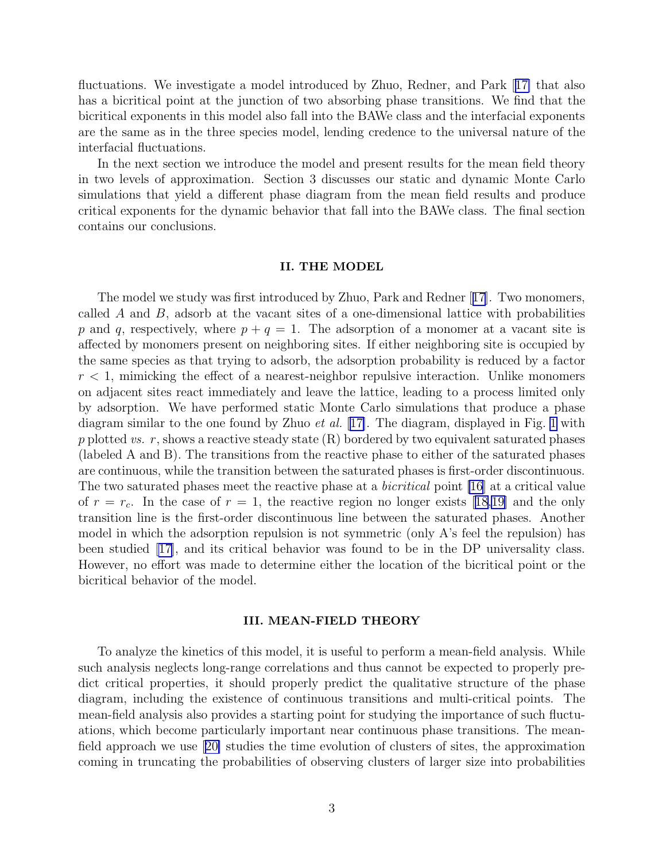fluctuations. We investigate a model introduced by Zhuo, Redner, and Park[[17\]](#page-10-0) that also has a bicritical point at the junction of two absorbing phase transitions. We find that the bicritical exponents in this model also fall into the BAWe class and the interfacial exponents are the same as in the three species model, lending credence to the universal nature of the interfacial fluctuations.

In the next section we introduce the model and present results for the mean field theory in two levels of approximation. Section 3 discusses our static and dynamic Monte Carlo simulations that yield a different phase diagram from the mean field results and produce critical exponents for the dynamic behavior that fall into the BAWe class. The final section contains our conclusions.

#### II. THE MODEL

The model we study was first introduced by Zhuo, Park and Redner [[17](#page-10-0)]. Two monomers, called  $\vec{A}$  and  $\vec{B}$ , adsorb at the vacant sites of a one-dimensional lattice with probabilities p and q, respectively, where  $p + q = 1$ . The adsorption of a monomer at a vacant site is affected by monomers present on neighboring sites. If either neighboring site is occupied by the same species as that trying to adsorb, the adsorption probability is reduced by a factor  $r < 1$ , mimicking the effect of a nearest-neighbor repulsive interaction. Unlike monomers on adjacent sites react immediately and leave the lattice, leading to a process limited only by adsorption. We have performed static Monte Carlo simulations that produce a phase diagram similar to the one found by Zhuo et al. [[17\]](#page-10-0). The diagram, displayed in Fig. [1](#page-12-0) with p plotted vs. r, shows a reactive steady state  $(R)$  bordered by two equivalent saturated phases (labeled A and B). The transitions from the reactive phase to either of the saturated phases are continuous, while the transition between the saturated phases is first-order discontinuous. The two saturated phases meet the reactive phase at a *bicritical* point [\[16](#page-10-0)] at a critical value of  $r = r_c$ . In the case of  $r = 1$ , the reactive region no longer exists [\[18,19\]](#page-10-0) and the only transition line is the first-order discontinuous line between the saturated phases. Another model in which the adsorption repulsion is not symmetric (only A's feel the repulsion) has been studied [\[17\]](#page-10-0), and its critical behavior was found to be in the DP universality class. However, no effort was made to determine either the location of the bicritical point or the bicritical behavior of the model.

#### III. MEAN-FIELD THEORY

To analyze the kinetics of this model, it is useful to perform a mean-field analysis. While such analysis neglects long-range correlations and thus cannot be expected to properly predict critical properties, it should properly predict the qualitative structure of the phase diagram, including the existence of continuous transitions and multi-critical points. The mean-field analysis also provides a starting point for studying the importance of such fluctuations, which become particularly important near continuous phase transitions. The meanfield approach we use[[20\]](#page-10-0) studies the time evolution of clusters of sites, the approximation coming in truncating the probabilities of observing clusters of larger size into probabilities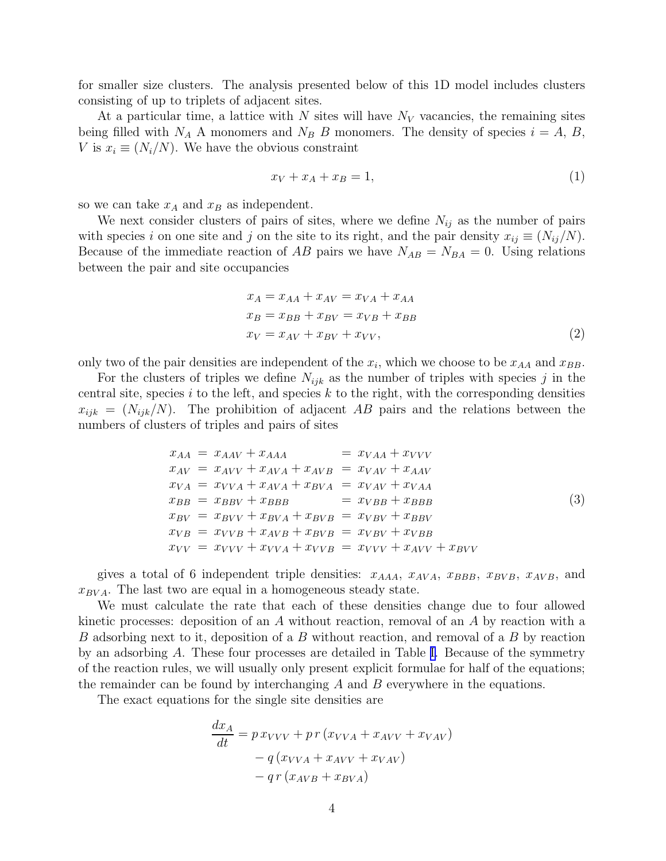<span id="page-4-0"></span>for smaller size clusters. The analysis presented below of this 1D model includes clusters consisting of up to triplets of adjacent sites.

At a particular time, a lattice with N sites will have  $N_V$  vacancies, the remaining sites being filled with  $N_A$  A monomers and  $N_B$  B monomers. The density of species  $i = A, B,$ V is  $x_i \equiv (N_i/N)$ . We have the obvious constraint

$$
x_V + x_A + x_B = 1,\t\t(1)
$$

so we can take  $x_A$  and  $x_B$  as independent.

We next consider clusters of pairs of sites, where we define  $N_{ij}$  as the number of pairs with species i on one site and j on the site to its right, and the pair density  $x_{ij} \equiv (N_{ij}/N)$ . Because of the immediate reaction of AB pairs we have  $N_{AB} = N_{BA} = 0$ . Using relations between the pair and site occupancies

$$
x_A = x_{AA} + x_{AV} = x_{VA} + x_{AA}
$$
  
\n
$$
x_B = x_{BB} + x_{BV} = x_{VB} + x_{BB}
$$
  
\n
$$
x_V = x_{AV} + x_{BV} + x_{VV},
$$
\n(2)

only two of the pair densities are independent of the  $x_i$ , which we choose to be  $x_{AA}$  and  $x_{BB}$ .

For the clusters of triples we define  $N_{ijk}$  as the number of triples with species j in the central site, species  $i$  to the left, and species  $k$  to the right, with the corresponding densities  $x_{ijk} = (N_{ijk}/N)$ . The prohibition of adjacent AB pairs and the relations between the numbers of clusters of triples and pairs of sites

$$
x_{AA} = x_{AAV} + x_{AAA} = x_{VAA} + x_{VVV}
$$
  
\n
$$
x_{AV} = x_{AVV} + x_{AVA} + x_{AVB} = x_{VAV} + x_{AAV}
$$
  
\n
$$
x_{VA} = x_{VVA} + x_{AVA} + x_{BYA} = x_{VAV} + x_{VAA}
$$
  
\n
$$
x_{BB} = x_{BBV} + x_{BBB} = x_{VBB} + x_{BBB}
$$
  
\n
$$
x_{BV} = x_{BVV} + x_{BVA} + x_{BVB} = x_{VBV} + x_{BBV}
$$
  
\n
$$
x_{VB} = x_{VVB} + x_{AVB} + x_{BVB} = x_{VBV} + x_{VBB}
$$
  
\n
$$
x_{VV} = x_{VVV} + x_{VVA} + x_{VVB} = x_{VVV} + x_{AVV} + x_{BVV}
$$
  
\n(3)

gives a total of 6 independent triple densities:  $x_{AAA}$ ,  $x_{AVA}$ ,  $x_{BBB}$ ,  $x_{BVB}$ ,  $x_{AVB}$ , and  $x_{BVA}$ . The last two are equal in a homogeneous steady state.

We must calculate the rate that each of these densities change due to four allowed kinetic processes: deposition of an A without reaction, removal of an A by reaction with a B adsorbing next to it, deposition of a B without reaction, and removal of a B by reaction by an adsorbing A. These four processes are detailed in Table [I.](#page-11-0) Because of the symmetry of the reaction rules, we will usually only present explicit formulae for half of the equations; the remainder can be found by interchanging  $A$  and  $B$  everywhere in the equations.

The exact equations for the single site densities are

$$
\frac{dx_A}{dt} = p x_{VVV} + p r (x_{VVA} + x_{AVV} + x_{VAV})
$$

$$
- q (x_{VVA} + x_{AVV} + x_{VAV})
$$

$$
- q r (x_{AVB} + x_{BVA})
$$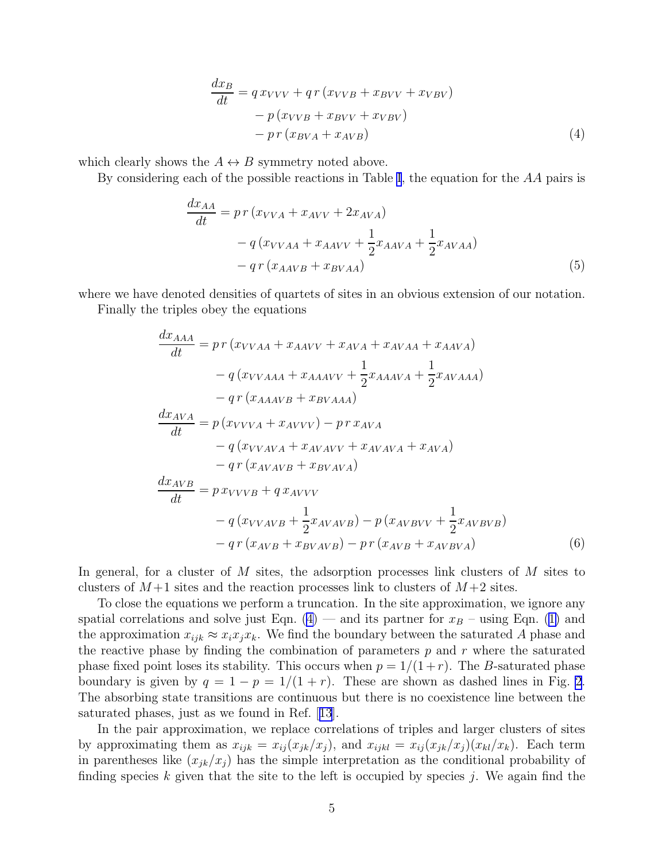$$
\frac{dx_B}{dt} = q x_{VVV} + q r (x_{VVB} + x_{BVV} + x_{VBV})
$$

$$
- p (x_{VVB} + x_{BVV} + x_{VBV})
$$

$$
- p r (x_{BVA} + x_{AVB})
$$
(4)

<span id="page-5-0"></span>which clearly shows the  $A \leftrightarrow B$  symmetry noted above.

By considering each of the possible reactions in Table [I](#page-11-0), the equation for the  $AA$  pairs is

$$
\frac{dx_{AA}}{dt} = pr (x_{VVA} + x_{AVV} + 2x_{AVA})
$$
  
- q (x\_{VVAA} + x\_{AAVV} + \frac{1}{2}x\_{AAVA} + \frac{1}{2}x\_{AVAA})  
- q r (x\_{AAVB} + x\_{BVAA}) (5)

where we have denoted densities of quartets of sites in an obvious extension of our notation.

Finally the triples obey the equations

$$
\frac{dx_{AAA}}{dt} = p r (x_{VVAA} + x_{AAVV} + x_{AVA} + x_{AVAA} + x_{AAVA})
$$

$$
- q (x_{VVAAA} + x_{AAAVV} + \frac{1}{2} x_{AAAVA} + \frac{1}{2} x_{AVAAA})
$$

$$
- q r (x_{AAAVB} + x_{BVAAA})
$$

$$
\frac{dx_{AVA}}{dt} = p (x_{VVVA} + x_{AVVV}) - p r x_{AVA}
$$

$$
- q (x_{VVAVA} + x_{AVAVV} + x_{AVAVA} + x_{AVA})
$$

$$
- q r (x_{AVAVB} + x_{BVAVA})
$$

$$
\frac{dx_{AVB}}{dt} = p x_{VVVB} + q x_{AVVV}
$$

$$
- q (x_{VVAVB} + \frac{1}{2} x_{AVAVB}) - p (x_{AVBVV} + \frac{1}{2} x_{AVBVB})
$$

$$
- q r (x_{AVB} + x_{BVAVB}) - p r (x_{AVB} + x_{AVBVA})
$$
(6)

In general, for a cluster of  $M$  sites, the adsorption processes link clusters of  $M$  sites to clusters of  $M+1$  sites and the reaction processes link to clusters of  $M+2$  sites.

To close the equations we perform a truncation. In the site approximation, we ignore any spatialcorrelations and solve just Eqn.  $(4)$  $(4)$  — and its partner for  $x_B$  – using Eqn. ([1\)](#page-4-0) and the approximation  $x_{ijk} \approx x_i x_i x_k$ . We find the boundary between the saturated A phase and the reactive phase by finding the combination of parameters  $p$  and  $r$  where the saturated phase fixed point loses its stability. This occurs when  $p = 1/(1+r)$ . The B-saturated phase boundary is given by  $q = 1 - p = 1/(1 + r)$ . These are shown as dashed lines in Fig. [2](#page-13-0). The absorbing state transitions are continuous but there is no coexistence line between the saturated phases, just as we found in Ref.[[13](#page-10-0)].

In the pair approximation, we replace correlations of triples and larger clusters of sites by approximating them as  $x_{ijk} = x_{ij} (x_{jk}/x_j)$ , and  $x_{ijkl} = x_{ij} (x_{jk}/x_j) (x_{kl}/x_k)$ . Each term in parentheses like  $(x_{jk}/x_j)$  has the simple interpretation as the conditional probability of finding species  $k$  given that the site to the left is occupied by species  $j$ . We again find the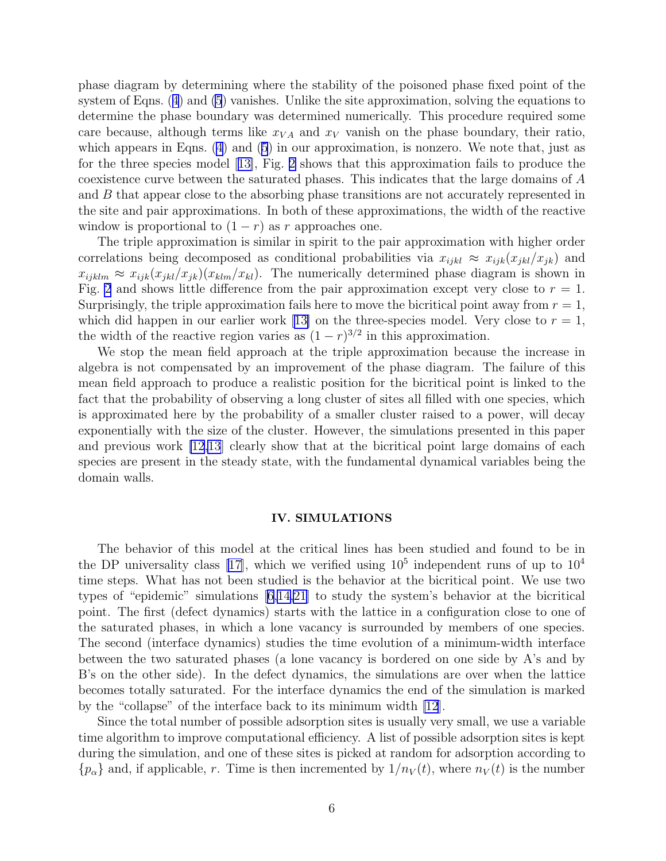phase diagram by determining where the stability of the poisoned phase fixed point of the system of Eqns.([4](#page-4-0)) and [\(5](#page-5-0)) vanishes. Unlike the site approximation, solving the equations to determine the phase boundary was determined numerically. This procedure required some care because, although terms like  $x_{VA}$  and  $x_V$  vanish on the phase boundary, their ratio, which appears in Eqns. [\(4\)](#page-4-0) and([5](#page-5-0)) in our approximation, is nonzero. We note that, just as for the three species model[[13\]](#page-10-0), Fig. [2](#page-13-0) shows that this approximation fails to produce the coexistence curve between the saturated phases. This indicates that the large domains of A and B that appear close to the absorbing phase transitions are not accurately represented in the site and pair approximations. In both of these approximations, the width of the reactive window is proportional to  $(1 - r)$  as r approaches one.

The triple approximation is similar in spirit to the pair approximation with higher order correlations being decomposed as conditional probabilities via  $x_{ijkl} \approx x_{ijk}(x_{jkl}/x_{jk})$  and  $x_{ijklm} \approx x_{ijk}(x_{jkl}/x_{jk})(x_{klm}/x_{kl})$ . The numerically determined phase diagram is shown in Fig. [2](#page-13-0) and shows little difference from the pair approximation except very close to  $r = 1$ . Surprisingly, the triple approximation fails here to move the bicritical point away from  $r = 1$ , whichdid happen in our earlier work [[13\]](#page-10-0) on the three-species model. Very close to  $r = 1$ , the width of the reactive region varies as  $(1 - r)^{3/2}$  in this approximation.

We stop the mean field approach at the triple approximation because the increase in algebra is not compensated by an improvement of the phase diagram. The failure of this mean field approach to produce a realistic position for the bicritical point is linked to the fact that the probability of observing a long cluster of sites all filled with one species, which is approximated here by the probability of a smaller cluster raised to a power, will decay exponentially with the size of the cluster. However, the simulations presented in this paper and previous work [\[12,13](#page-10-0)] clearly show that at the bicritical point large domains of each species are present in the steady state, with the fundamental dynamical variables being the domain walls.

#### IV. SIMULATIONS

The behavior of this model at the critical lines has been studied and found to be in the DP universality class [\[17\]](#page-10-0), which we verified using  $10^5$  independent runs of up to  $10^4$ time steps. What has not been studied is the behavior at the bicritical point. We use two types of "epidemic" simulations[[6,14,21\]](#page-10-0) to study the system's behavior at the bicritical point. The first (defect dynamics) starts with the lattice in a configuration close to one of the saturated phases, in which a lone vacancy is surrounded by members of one species. The second (interface dynamics) studies the time evolution of a minimum-width interface between the two saturated phases (a lone vacancy is bordered on one side by A's and by B's on the other side). In the defect dynamics, the simulations are over when the lattice becomes totally saturated. For the interface dynamics the end of the simulation is marked by the "collapse" of the interface back to its minimum width [\[12](#page-10-0)].

Since the total number of possible adsorption sites is usually very small, we use a variable time algorithm to improve computational efficiency. A list of possible adsorption sites is kept during the simulation, and one of these sites is picked at random for adsorption according to  $\{p_{\alpha}\}\$  and, if applicable, r. Time is then incremented by  $1/n_V(t)$ , where  $n_V(t)$  is the number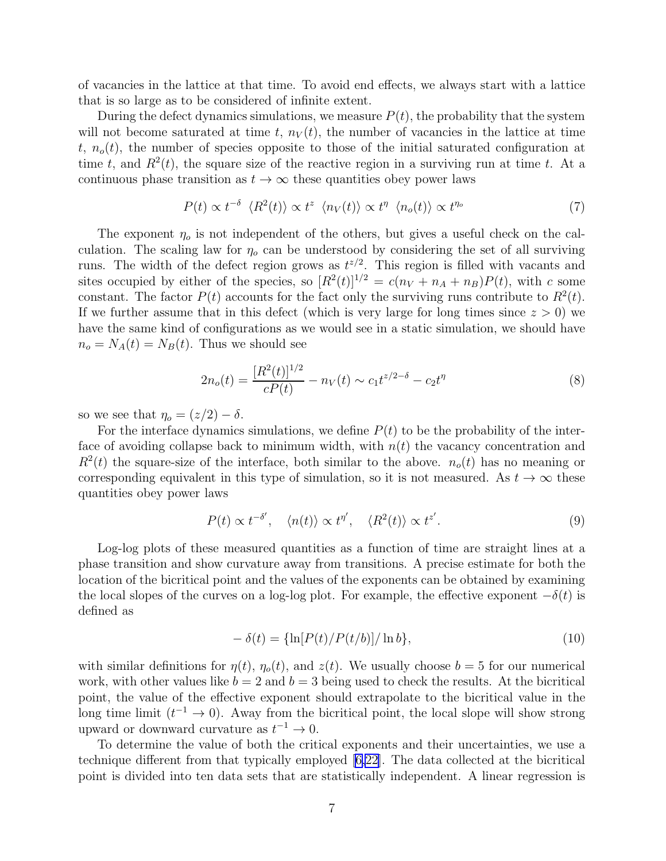<span id="page-7-0"></span>of vacancies in the lattice at that time. To avoid end effects, we always start with a lattice that is so large as to be considered of infinite extent.

During the defect dynamics simulations, we measure  $P(t)$ , the probability that the system will not become saturated at time t,  $n_V(t)$ , the number of vacancies in the lattice at time t,  $n_o(t)$ , the number of species opposite to those of the initial saturated configuration at time t, and  $R^2(t)$ , the square size of the reactive region in a surviving run at time t. At a continuous phase transition as  $t \to \infty$  these quantities obey power laws

$$
P(t) \propto t^{-\delta} \langle R^2(t) \rangle \propto t^z \langle n_V(t) \rangle \propto t^{\eta} \langle n_o(t) \rangle \propto t^{\eta_o} \tag{7}
$$

The exponent  $\eta_o$  is not independent of the others, but gives a useful check on the calculation. The scaling law for  $\eta_0$  can be understood by considering the set of all surviving runs. The width of the defect region grows as  $t^{z/2}$ . This region is filled with vacants and sites occupied by either of the species, so  $[R^2(t)]^{1/2} = c(n_V + n_A + n_B)P(t)$ , with c some constant. The factor  $P(t)$  accounts for the fact only the surviving runs contribute to  $R^2(t)$ . If we further assume that in this defect (which is very large for long times since  $z > 0$ ) we have the same kind of configurations as we would see in a static simulation, we should have  $n_o = N_A(t) = N_B(t)$ . Thus we should see

$$
2n_o(t) = \frac{[R^2(t)]^{1/2}}{cP(t)} - n_V(t) \sim c_1 t^{z/2 - \delta} - c_2 t^{\eta}
$$
\n(8)

so we see that  $\eta_o = (z/2) - \delta$ .

For the interface dynamics simulations, we define  $P(t)$  to be the probability of the interface of avoiding collapse back to minimum width, with  $n(t)$  the vacancy concentration and  $R^2(t)$  the square-size of the interface, both similar to the above.  $n_o(t)$  has no meaning or corresponding equivalent in this type of simulation, so it is not measured. As  $t \to \infty$  these quantities obey power laws

$$
P(t) \propto t^{-\delta'}, \quad \langle n(t) \rangle \propto t^{\eta'}, \quad \langle R^2(t) \rangle \propto t^{z'}.
$$
 (9)

Log-log plots of these measured quantities as a function of time are straight lines at a phase transition and show curvature away from transitions. A precise estimate for both the location of the bicritical point and the values of the exponents can be obtained by examining the local slopes of the curves on a log-log plot. For example, the effective exponent  $-\delta(t)$  is defined as

$$
-\delta(t) = {\ln[P(t)/P(t/b)]/\ln b},\tag{10}
$$

with similar definitions for  $\eta(t)$ ,  $\eta_o(t)$ , and  $z(t)$ . We usually choose  $b = 5$  for our numerical work, with other values like  $b = 2$  and  $b = 3$  being used to check the results. At the bicritical point, the value of the effective exponent should extrapolate to the bicritical value in the long time limit  $(t^{-1} \to 0)$ . Away from the bicritical point, the local slope will show strong upward or downward curvature as  $t^{-1} \to 0$ .

To determine the value of both the critical exponents and their uncertainties, we use a technique different from that typically employed[[6,22\]](#page-10-0). The data collected at the bicritical point is divided into ten data sets that are statistically independent. A linear regression is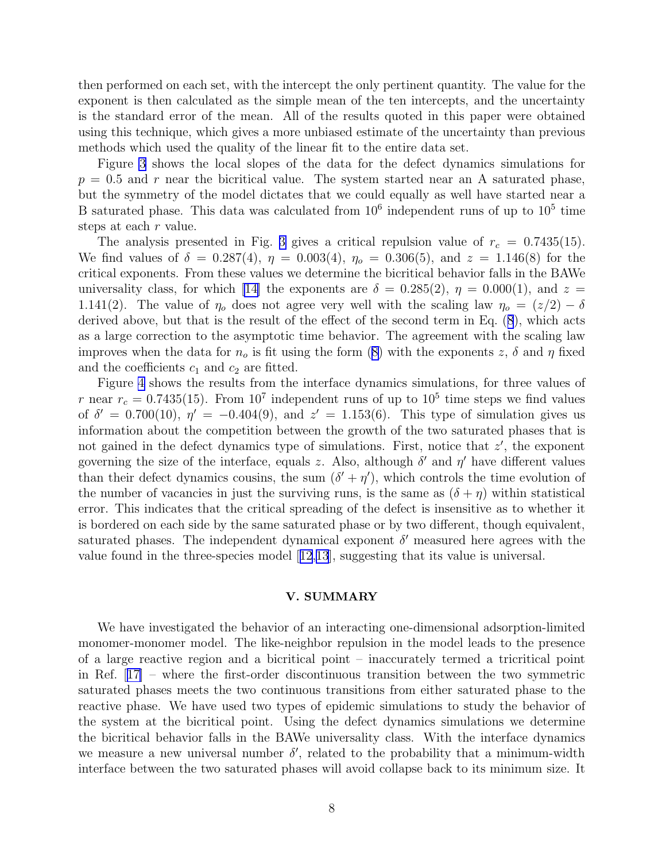then performed on each set, with the intercept the only pertinent quantity. The value for the exponent is then calculated as the simple mean of the ten intercepts, and the uncertainty is the standard error of the mean. All of the results quoted in this paper were obtained using this technique, which gives a more unbiased estimate of the uncertainty than previous methods which used the quality of the linear fit to the entire data set.

Figure [3](#page-14-0) shows the local slopes of the data for the defect dynamics simulations for  $p = 0.5$  and r near the bicritical value. The system started near an A saturated phase, but the symmetry of the model dictates that we could equally as well have started near a B saturated phase. This data was calculated from  $10^6$  independent runs of up to  $10^5$  time steps at each r value.

The analysis presented in Fig. [3](#page-14-0) gives a critical repulsion value of  $r_c = 0.7435(15)$ . We find values of  $\delta = 0.287(4)$ ,  $\eta = 0.003(4)$ ,  $\eta_o = 0.306(5)$ , and  $z = 1.146(8)$  for the critical exponents. From these values we determine the bicritical behavior falls in the BAWe universality class, for which [\[14\]](#page-10-0) the exponents are  $\delta = 0.285(2)$ ,  $\eta = 0.000(1)$ , and  $z =$ 1.141(2). The value of  $\eta_0$  does not agree very well with the scaling law  $\eta_0 = (z/2) - \delta$ derived above, but that is the result of the effect of the second term in Eq.([8](#page-7-0)), which acts as a large correction to the asymptotic time behavior. The agreement with the scaling law improveswhen the data for  $n_o$  is fit using the form ([8\)](#page-7-0) with the exponents z,  $\delta$  and  $\eta$  fixed and the coefficients  $c_1$  and  $c_2$  are fitted.

Figure [4](#page-15-0) shows the results from the interface dynamics simulations, for three values of r near  $r_c = 0.7435(15)$ . From  $10^7$  independent runs of up to  $10^5$  time steps we find values of  $\delta' = 0.700(10)$ ,  $\eta' = -0.404(9)$ , and  $z' = 1.153(6)$ . This type of simulation gives us information about the competition between the growth of the two saturated phases that is not gained in the defect dynamics type of simulations. First, notice that  $z'$ , the exponent governing the size of the interface, equals z. Also, although  $\delta'$  and  $\eta'$  have different values than their defect dynamics cousins, the sum  $(\delta' + \eta')$ , which controls the time evolution of the number of vacancies in just the surviving runs, is the same as  $(\delta + \eta)$  within statistical error. This indicates that the critical spreading of the defect is insensitive as to whether it is bordered on each side by the same saturated phase or by two different, though equivalent, saturated phases. The independent dynamical exponent  $\delta'$  measured here agrees with the value found in the three-species model[[12](#page-10-0),[13](#page-10-0)], suggesting that its value is universal.

#### V. SUMMARY

We have investigated the behavior of an interacting one-dimensional adsorption-limited monomer-monomer model. The like-neighbor repulsion in the model leads to the presence of a large reactive region and a bicritical point – inaccurately termed a tricritical point in Ref.[[17\]](#page-10-0) – where the first-order discontinuous transition between the two symmetric saturated phases meets the two continuous transitions from either saturated phase to the reactive phase. We have used two types of epidemic simulations to study the behavior of the system at the bicritical point. Using the defect dynamics simulations we determine the bicritical behavior falls in the BAWe universality class. With the interface dynamics we measure a new universal number  $\delta'$ , related to the probability that a minimum-width interface between the two saturated phases will avoid collapse back to its minimum size. It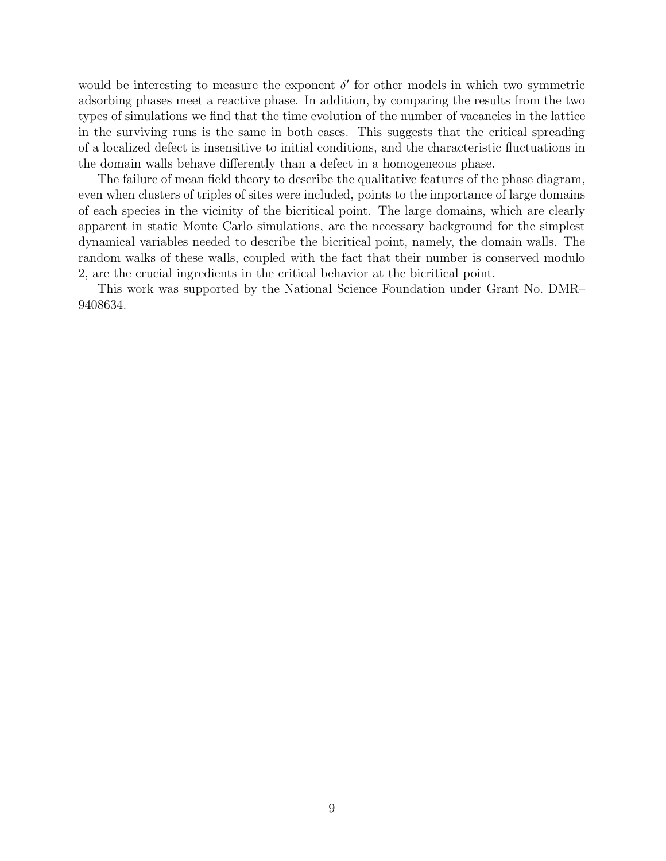would be interesting to measure the exponent  $\delta'$  for other models in which two symmetric adsorbing phases meet a reactive phase. In addition, by comparing the results from the two types of simulations we find that the time evolution of the number of vacancies in the lattice in the surviving runs is the same in both cases. This suggests that the critical spreading of a localized defect is insensitive to initial conditions, and the characteristic fluctuations in the domain walls behave differently than a defect in a homogeneous phase.

The failure of mean field theory to describe the qualitative features of the phase diagram, even when clusters of triples of sites were included, points to the importance of large domains of each species in the vicinity of the bicritical point. The large domains, which are clearly apparent in static Monte Carlo simulations, are the necessary background for the simplest dynamical variables needed to describe the bicritical point, namely, the domain walls. The random walks of these walls, coupled with the fact that their number is conserved modulo 2, are the crucial ingredients in the critical behavior at the bicritical point.

This work was supported by the National Science Foundation under Grant No. DMR– 9408634.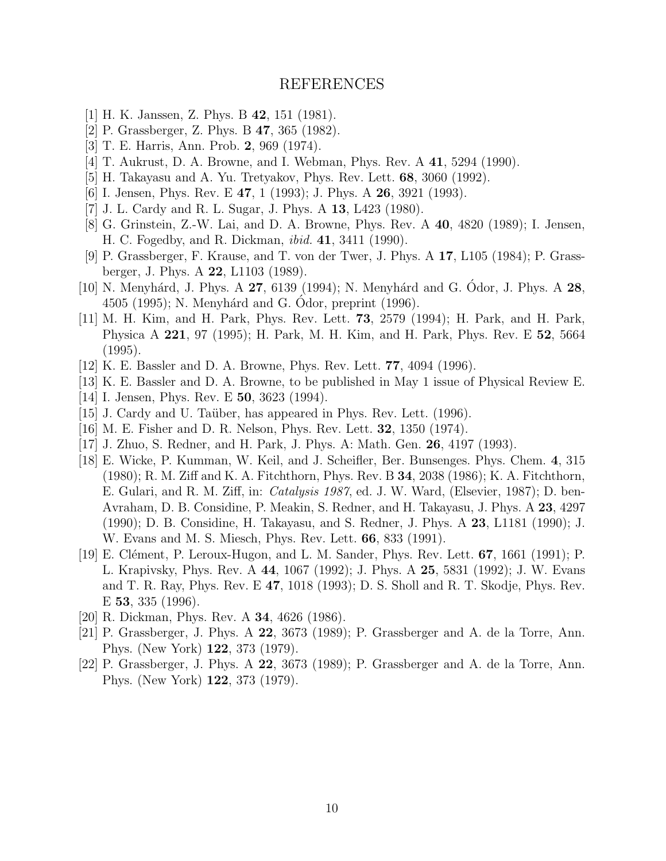## REFERENCES

- <span id="page-10-0"></span>[1] H. K. Janssen, Z. Phys. B 42, 151 (1981).
- [2] P. Grassberger, Z. Phys. B 47, 365 (1982).
- [3] T. E. Harris, Ann. Prob. 2, 969 (1974).
- [4] T. Aukrust, D. A. Browne, and I. Webman, Phys. Rev. A 41, 5294 (1990).
- [5] H. Takayasu and A. Yu. Tretyakov, Phys. Rev. Lett. 68, 3060 (1992).
- [6] I. Jensen, Phys. Rev. E 47, 1 (1993); J. Phys. A 26, 3921 (1993).
- [7] J. L. Cardy and R. L. Sugar, J. Phys. A 13, L423 (1980).
- [8] G. Grinstein, Z.-W. Lai, and D. A. Browne, Phys. Rev. A 40, 4820 (1989); I. Jensen, H. C. Fogedby, and R. Dickman, ibid. 41, 3411 (1990).
- [9] P. Grassberger, F. Krause, and T. von der Twer, J. Phys. A 17, L105 (1984); P. Grassberger, J. Phys. A 22, L1103 (1989).
- [10] N. Menyhárd, J. Phys. A  $27$ , 6139 (1994); N. Menyhárd and G. Odor, J. Phys. A  $28$ , 4505 (1995); N. Menyhárd and G. Odor, preprint (1996).
- [11] M. H. Kim, and H. Park, Phys. Rev. Lett. 73, 2579 (1994); H. Park, and H. Park, Physica A 221, 97 (1995); H. Park, M. H. Kim, and H. Park, Phys. Rev. E 52, 5664 (1995).
- [12] K. E. Bassler and D. A. Browne, Phys. Rev. Lett. 77, 4094 (1996).
- [13] K. E. Bassler and D. A. Browne, to be published in May 1 issue of Physical Review E.
- [14] I. Jensen, Phys. Rev. E 50, 3623 (1994).
- [15] J. Cardy and U. Taüber, has appeared in Phys. Rev. Lett. (1996).
- [16] M. E. Fisher and D. R. Nelson, Phys. Rev. Lett. 32, 1350 (1974).
- [17] J. Zhuo, S. Redner, and H. Park, J. Phys. A: Math. Gen. 26, 4197 (1993).
- [18] E. Wicke, P. Kumman, W. Keil, and J. Scheifler, Ber. Bunsenges. Phys. Chem. 4, 315 (1980); R. M. Ziff and K. A. Fitchthorn, Phys. Rev. B 34, 2038 (1986); K. A. Fitchthorn, E. Gulari, and R. M. Ziff, in: Catalysis 1987, ed. J. W. Ward, (Elsevier, 1987); D. ben-Avraham, D. B. Considine, P. Meakin, S. Redner, and H. Takayasu, J. Phys. A 23, 4297 (1990); D. B. Considine, H. Takayasu, and S. Redner, J. Phys. A 23, L1181 (1990); J. W. Evans and M. S. Miesch, Phys. Rev. Lett. 66, 833 (1991).
- [19] E. Clément, P. Leroux-Hugon, and L. M. Sander, Phys. Rev. Lett. **67**, 1661 (1991); P. L. Krapivsky, Phys. Rev. A 44, 1067 (1992); J. Phys. A 25, 5831 (1992); J. W. Evans and T. R. Ray, Phys. Rev. E 47, 1018 (1993); D. S. Sholl and R. T. Skodje, Phys. Rev. E 53, 335 (1996).
- [20] R. Dickman, Phys. Rev. A 34, 4626 (1986).
- [21] P. Grassberger, J. Phys. A 22, 3673 (1989); P. Grassberger and A. de la Torre, Ann. Phys. (New York) 122, 373 (1979).
- [22] P. Grassberger, J. Phys. A 22, 3673 (1989); P. Grassberger and A. de la Torre, Ann. Phys. (New York) 122, 373 (1979).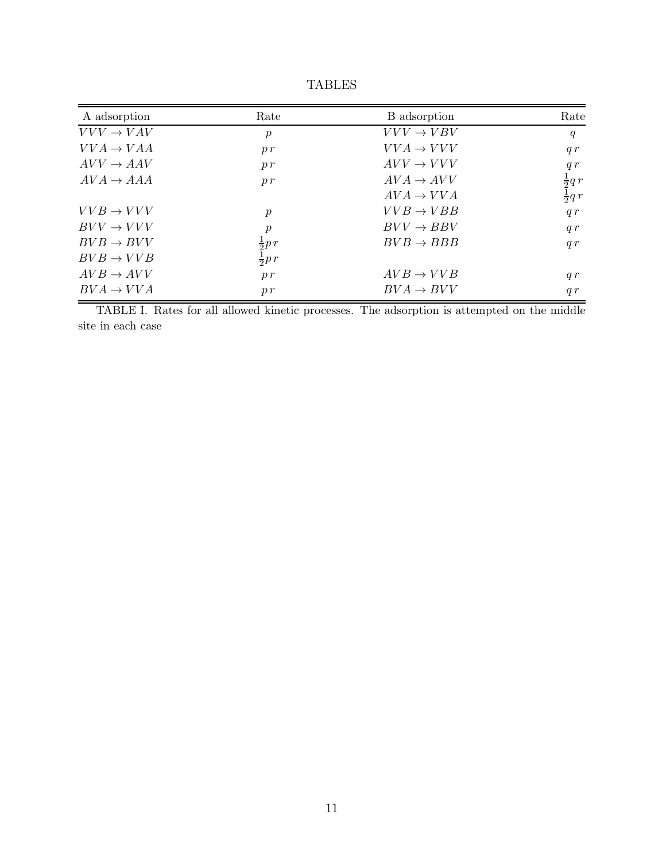<span id="page-11-0"></span>

| A adsorption          | Rate             | B adsorption          | Rate                                   |
|-----------------------|------------------|-----------------------|----------------------------------------|
| $VVV \rightarrow VAV$ | $\boldsymbol{p}$ | $VVV \rightarrow VBV$ | q                                      |
| $VVA \rightarrow VAA$ | p r              | $VVA \rightarrow VVV$ | q r                                    |
| $AVV \rightarrow AAV$ | p r              | $AVV \rightarrow VVV$ | q r                                    |
| $AVA \rightarrow AAA$ | p r              | $AVA \rightarrow AVV$ |                                        |
|                       |                  | $AVA \rightarrow VVA$ | $\frac{1}{2} q r$<br>$\frac{1}{2} q r$ |
| $VVB \rightarrow VVV$ | $\boldsymbol{p}$ | $VVB \rightarrow VBB$ | q r                                    |
| $BVV \to VVV$         | $\boldsymbol{p}$ | $BVV \rightarrow BBV$ | q r                                    |
| $BVB \rightarrow BVV$ | $rac{1}{2}p r$   | $BVB \rightarrow BBB$ | q r                                    |
| $BVB \rightarrow VVB$ | $\frac{1}{2}p r$ |                       |                                        |
| $AVB \rightarrow AVV$ | p r              | $AVB \rightarrow VVB$ | q r                                    |
| $BVA \rightarrow VVA$ | p r              | $BVA \rightarrow BVV$ | q r                                    |

TABLES

TABLE I. Rates for all allowed kinetic processes. The adsorption is attempted on the middle site in each case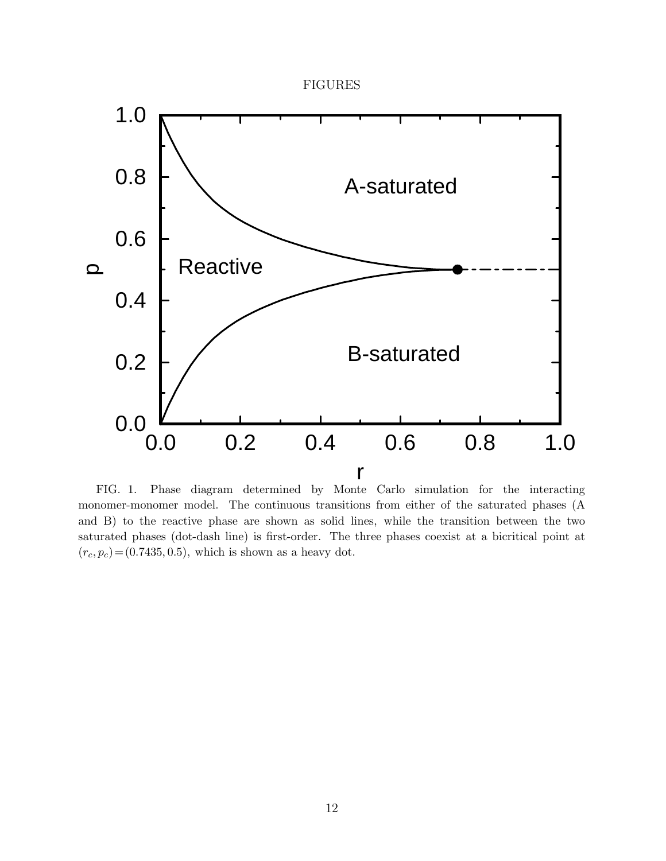### FIGURES

<span id="page-12-0"></span>

FIG. 1. Phase diagram determined by Monte Carlo simulation for the interacting monomer-monomer model. The continuous transitions from either of the saturated phases (A and B) to the reactive phase are shown as solid lines, while the transition between the two saturated phases (dot-dash line) is first-order. The three phases coexist at a bicritical point at  $(r_c, p_c) = (0.7435, 0.5)$ , which is shown as a heavy dot.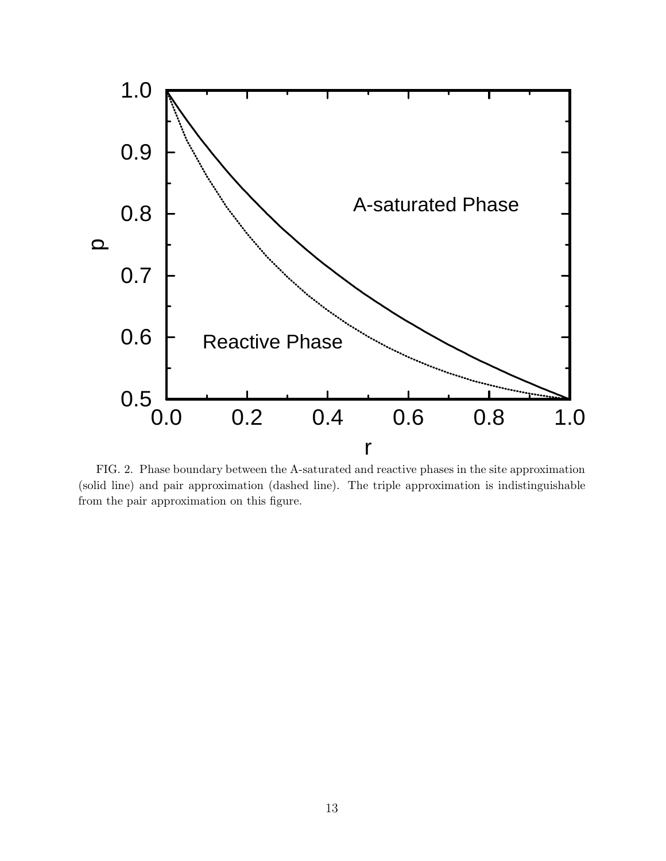<span id="page-13-0"></span>

FIG. 2. Phase boundary between the A-saturated and reactive phases in the site approximation (solid line) and pair approximation (dashed line). The triple approximation is indistinguishable from the pair approximation on this figure.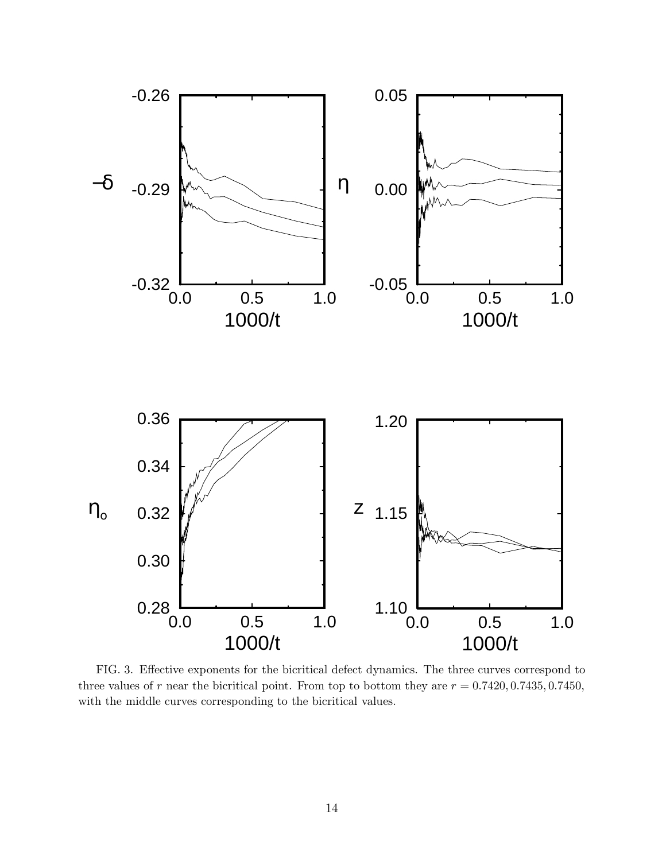<span id="page-14-0"></span>

FIG. 3. Effective exponents for the bicritical defect dynamics. The three curves correspond to three values of r near the bicritical point. From top to bottom they are  $r = 0.7420, 0.7435, 0.7450$ , with the middle curves corresponding to the bicritical values.